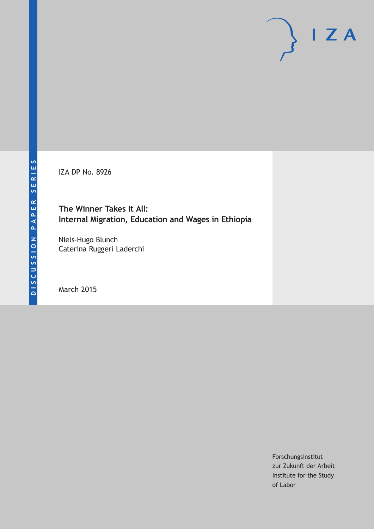IZA DP No. 8926

**The Winner Takes It All: Internal Migration, Education and Wages in Ethiopia**

Niels-Hugo Blunch Caterina Ruggeri Laderchi

March 2015

Forschungsinstitut zur Zukunft der Arbeit Institute for the Study of Labor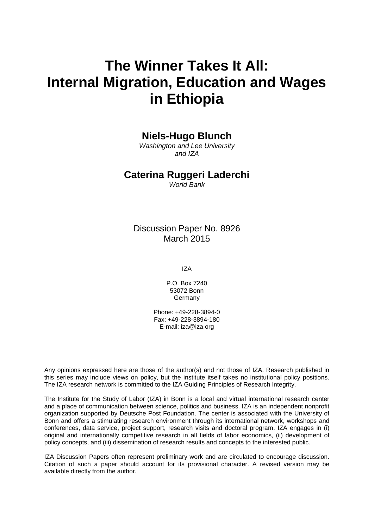# **The Winner Takes It All: Internal Migration, Education and Wages in Ethiopia**

## **Niels-Hugo Blunch**

*Washington and Lee University and IZA*

### **Caterina Ruggeri Laderchi**

*World Bank*

Discussion Paper No. 8926 March 2015

IZA

P.O. Box 7240 53072 Bonn Germany

Phone: +49-228-3894-0 Fax: +49-228-3894-180 E-mail: iza@iza.org

Any opinions expressed here are those of the author(s) and not those of IZA. Research published in this series may include views on policy, but the institute itself takes no institutional policy positions. The IZA research network is committed to the IZA Guiding Principles of Research Integrity.

The Institute for the Study of Labor (IZA) in Bonn is a local and virtual international research center and a place of communication between science, politics and business. IZA is an independent nonprofit organization supported by Deutsche Post Foundation. The center is associated with the University of Bonn and offers a stimulating research environment through its international network, workshops and conferences, data service, project support, research visits and doctoral program. IZA engages in (i) original and internationally competitive research in all fields of labor economics, (ii) development of policy concepts, and (iii) dissemination of research results and concepts to the interested public.

IZA Discussion Papers often represent preliminary work and are circulated to encourage discussion. Citation of such a paper should account for its provisional character. A revised version may be available directly from the author.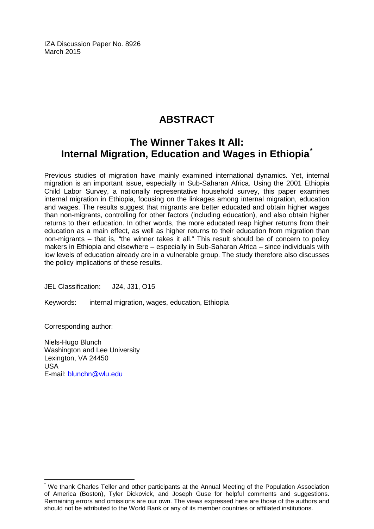IZA Discussion Paper No. 8926 March 2015

# **ABSTRACT**

# **The Winner Takes It All: Internal Migration, Education and Wages in Ethiopia[\\*](#page-2-0)**

Previous studies of migration have mainly examined international dynamics. Yet, internal migration is an important issue, especially in Sub-Saharan Africa. Using the 2001 Ethiopia Child Labor Survey, a nationally representative household survey, this paper examines internal migration in Ethiopia, focusing on the linkages among internal migration, education and wages. The results suggest that migrants are better educated and obtain higher wages than non-migrants, controlling for other factors (including education), and also obtain higher returns to their education. In other words, the more educated reap higher returns from their education as a main effect, as well as higher returns to their education from migration than non-migrants – that is, "the winner takes it all." This result should be of concern to policy makers in Ethiopia and elsewhere – especially in Sub-Saharan Africa – since individuals with low levels of education already are in a vulnerable group. The study therefore also discusses the policy implications of these results.

JEL Classification: J24, J31, O15

Keywords: internal migration, wages, education, Ethiopia

Corresponding author:

Niels-Hugo Blunch Washington and Lee University Lexington, VA 24450 USA E-mail: [blunchn@wlu.edu](mailto:blunchn@wlu.edu)

<span id="page-2-0"></span>We thank Charles Teller and other participants at the Annual Meeting of the Population Association of America (Boston), Tyler Dickovick, and Joseph Guse for helpful comments and suggestions. Remaining errors and omissions are our own. The views expressed here are those of the authors and should not be attributed to the World Bank or any of its member countries or affiliated institutions.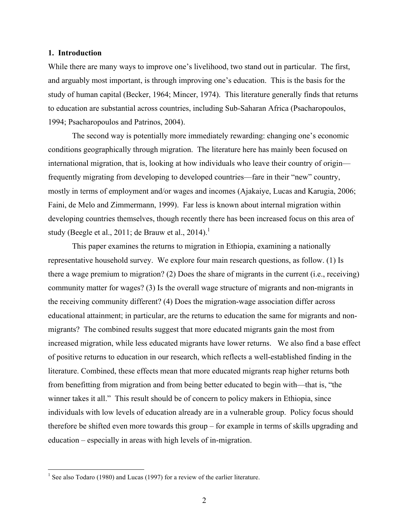#### **1. Introduction**

While there are many ways to improve one's livelihood, two stand out in particular. The first, and arguably most important, is through improving one's education. This is the basis for the study of human capital (Becker, 1964; Mincer, 1974). This literature generally finds that returns to education are substantial across countries, including Sub-Saharan Africa (Psacharopoulos, 1994; Psacharopoulos and Patrinos, 2004).

The second way is potentially more immediately rewarding: changing one's economic conditions geographically through migration. The literature here has mainly been focused on international migration, that is, looking at how individuals who leave their country of origin frequently migrating from developing to developed countries—fare in their "new" country, mostly in terms of employment and/or wages and incomes (Ajakaiye, Lucas and Karugia, 2006; Faini, de Melo and Zimmermann, 1999). Far less is known about internal migration within developing countries themselves, though recently there has been increased focus on this area of study (Beegle et al., 2011; de Brauw et al., 2014).<sup>1</sup>

This paper examines the returns to migration in Ethiopia, examining a nationally representative household survey. We explore four main research questions, as follow. (1) Is there a wage premium to migration? (2) Does the share of migrants in the current (i.e., receiving) community matter for wages? (3) Is the overall wage structure of migrants and non-migrants in the receiving community different? (4) Does the migration-wage association differ across educational attainment; in particular, are the returns to education the same for migrants and nonmigrants? The combined results suggest that more educated migrants gain the most from increased migration, while less educated migrants have lower returns. We also find a base effect of positive returns to education in our research, which reflects a well-established finding in the literature. Combined, these effects mean that more educated migrants reap higher returns both from benefitting from migration and from being better educated to begin with—that is, "the winner takes it all." This result should be of concern to policy makers in Ethiopia, since individuals with low levels of education already are in a vulnerable group. Policy focus should therefore be shifted even more towards this group – for example in terms of skills upgrading and education – especially in areas with high levels of in-migration.

<sup>&</sup>lt;sup>1</sup> See also Todaro (1980) and Lucas (1997) for a review of the earlier literature.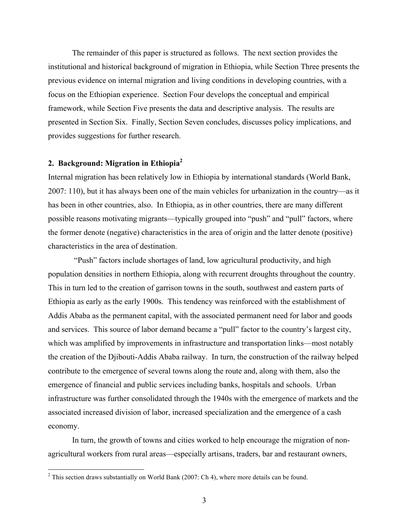The remainder of this paper is structured as follows. The next section provides the institutional and historical background of migration in Ethiopia, while Section Three presents the previous evidence on internal migration and living conditions in developing countries, with a focus on the Ethiopian experience. Section Four develops the conceptual and empirical framework, while Section Five presents the data and descriptive analysis. The results are presented in Section Six. Finally, Section Seven concludes, discusses policy implications, and provides suggestions for further research.

### **2. Background: Migration in Ethiopia2**

Internal migration has been relatively low in Ethiopia by international standards (World Bank, 2007: 110), but it has always been one of the main vehicles for urbanization in the country—as it has been in other countries, also. In Ethiopia, as in other countries, there are many different possible reasons motivating migrants—typically grouped into "push" and "pull" factors, where the former denote (negative) characteristics in the area of origin and the latter denote (positive) characteristics in the area of destination.

"Push" factors include shortages of land, low agricultural productivity, and high population densities in northern Ethiopia, along with recurrent droughts throughout the country. This in turn led to the creation of garrison towns in the south, southwest and eastern parts of Ethiopia as early as the early 1900s. This tendency was reinforced with the establishment of Addis Ababa as the permanent capital, with the associated permanent need for labor and goods and services. This source of labor demand became a "pull" factor to the country's largest city, which was amplified by improvements in infrastructure and transportation links—most notably the creation of the Djibouti-Addis Ababa railway. In turn, the construction of the railway helped contribute to the emergence of several towns along the route and, along with them, also the emergence of financial and public services including banks, hospitals and schools. Urban infrastructure was further consolidated through the 1940s with the emergence of markets and the associated increased division of labor, increased specialization and the emergence of a cash economy.

In turn, the growth of towns and cities worked to help encourage the migration of nonagricultural workers from rural areas—especially artisans, traders, bar and restaurant owners,

 $2$  This section draws substantially on World Bank (2007: Ch 4), where more details can be found.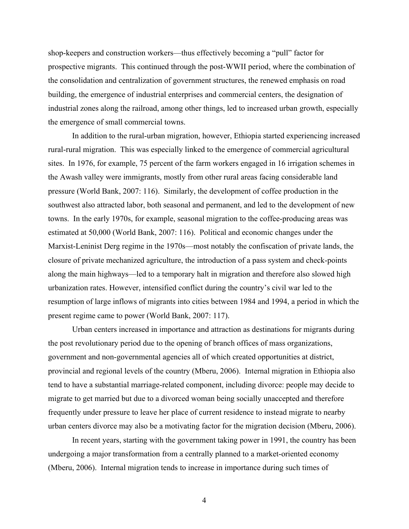shop-keepers and construction workers—thus effectively becoming a "pull" factor for prospective migrants. This continued through the post-WWII period, where the combination of the consolidation and centralization of government structures, the renewed emphasis on road building, the emergence of industrial enterprises and commercial centers, the designation of industrial zones along the railroad, among other things, led to increased urban growth, especially the emergence of small commercial towns.

In addition to the rural-urban migration, however, Ethiopia started experiencing increased rural-rural migration. This was especially linked to the emergence of commercial agricultural sites. In 1976, for example, 75 percent of the farm workers engaged in 16 irrigation schemes in the Awash valley were immigrants, mostly from other rural areas facing considerable land pressure (World Bank, 2007: 116). Similarly, the development of coffee production in the southwest also attracted labor, both seasonal and permanent, and led to the development of new towns. In the early 1970s, for example, seasonal migration to the coffee-producing areas was estimated at 50,000 (World Bank, 2007: 116). Political and economic changes under the Marxist-Leninist Derg regime in the 1970s—most notably the confiscation of private lands, the closure of private mechanized agriculture, the introduction of a pass system and check-points along the main highways—led to a temporary halt in migration and therefore also slowed high urbanization rates. However, intensified conflict during the country's civil war led to the resumption of large inflows of migrants into cities between 1984 and 1994, a period in which the present regime came to power (World Bank, 2007: 117).

Urban centers increased in importance and attraction as destinations for migrants during the post revolutionary period due to the opening of branch offices of mass organizations, government and non-governmental agencies all of which created opportunities at district, provincial and regional levels of the country (Mberu, 2006). Internal migration in Ethiopia also tend to have a substantial marriage-related component, including divorce: people may decide to migrate to get married but due to a divorced woman being socially unaccepted and therefore frequently under pressure to leave her place of current residence to instead migrate to nearby urban centers divorce may also be a motivating factor for the migration decision (Mberu, 2006).

In recent years, starting with the government taking power in 1991, the country has been undergoing a major transformation from a centrally planned to a market-oriented economy (Mberu, 2006). Internal migration tends to increase in importance during such times of

4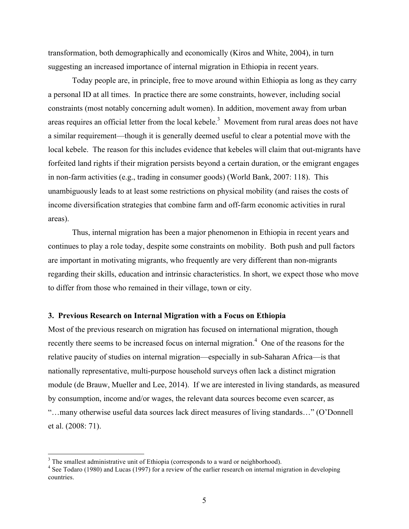transformation, both demographically and economically (Kiros and White, 2004), in turn suggesting an increased importance of internal migration in Ethiopia in recent years.

Today people are, in principle, free to move around within Ethiopia as long as they carry a personal ID at all times. In practice there are some constraints, however, including social constraints (most notably concerning adult women). In addition, movement away from urban areas requires an official letter from the local kebele.<sup>3</sup> Movement from rural areas does not have a similar requirement—though it is generally deemed useful to clear a potential move with the local kebele. The reason for this includes evidence that kebeles will claim that out-migrants have forfeited land rights if their migration persists beyond a certain duration, or the emigrant engages in non-farm activities (e.g., trading in consumer goods) (World Bank, 2007: 118). This unambiguously leads to at least some restrictions on physical mobility (and raises the costs of income diversification strategies that combine farm and off-farm economic activities in rural areas).

Thus, internal migration has been a major phenomenon in Ethiopia in recent years and continues to play a role today, despite some constraints on mobility. Both push and pull factors are important in motivating migrants, who frequently are very different than non-migrants regarding their skills, education and intrinsic characteristics. In short, we expect those who move to differ from those who remained in their village, town or city.

#### **3. Previous Research on Internal Migration with a Focus on Ethiopia**

Most of the previous research on migration has focused on international migration, though recently there seems to be increased focus on internal migration.<sup>4</sup> One of the reasons for the relative paucity of studies on internal migration—especially in sub-Saharan Africa—is that nationally representative, multi-purpose household surveys often lack a distinct migration module (de Brauw, Mueller and Lee, 2014). If we are interested in living standards, as measured by consumption, income and/or wages, the relevant data sources become even scarcer, as "…many otherwise useful data sources lack direct measures of living standards…" (O'Donnell et al. (2008: 71).

<sup>&</sup>lt;sup>3</sup> The smallest administrative unit of Ethiopia (corresponds to a ward or neighborhood).

<sup>&</sup>lt;sup>4</sup> See Todaro (1980) and Lucas (1997) for a review of the earlier research on internal migration in developing countries.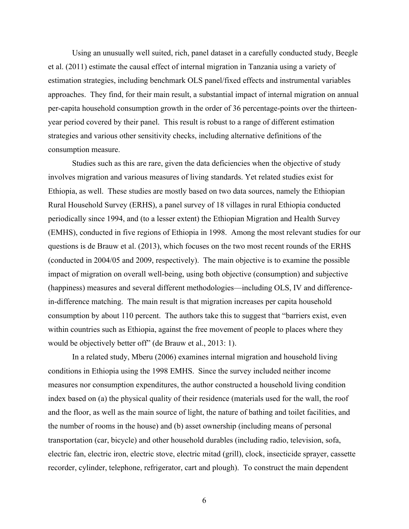Using an unusually well suited, rich, panel dataset in a carefully conducted study, Beegle et al. (2011) estimate the causal effect of internal migration in Tanzania using a variety of estimation strategies, including benchmark OLS panel/fixed effects and instrumental variables approaches. They find, for their main result, a substantial impact of internal migration on annual per-capita household consumption growth in the order of 36 percentage-points over the thirteenyear period covered by their panel. This result is robust to a range of different estimation strategies and various other sensitivity checks, including alternative definitions of the consumption measure.

Studies such as this are rare, given the data deficiencies when the objective of study involves migration and various measures of living standards. Yet related studies exist for Ethiopia, as well. These studies are mostly based on two data sources, namely the Ethiopian Rural Household Survey (ERHS), a panel survey of 18 villages in rural Ethiopia conducted periodically since 1994, and (to a lesser extent) the Ethiopian Migration and Health Survey (EMHS), conducted in five regions of Ethiopia in 1998. Among the most relevant studies for our questions is de Brauw et al. (2013), which focuses on the two most recent rounds of the ERHS (conducted in 2004/05 and 2009, respectively). The main objective is to examine the possible impact of migration on overall well-being, using both objective (consumption) and subjective (happiness) measures and several different methodologies—including OLS, IV and differencein-difference matching. The main result is that migration increases per capita household consumption by about 110 percent. The authors take this to suggest that "barriers exist, even within countries such as Ethiopia, against the free movement of people to places where they would be objectively better off" (de Brauw et al., 2013: 1).

In a related study, Mberu (2006) examines internal migration and household living conditions in Ethiopia using the 1998 EMHS. Since the survey included neither income measures nor consumption expenditures, the author constructed a household living condition index based on (a) the physical quality of their residence (materials used for the wall, the roof and the floor, as well as the main source of light, the nature of bathing and toilet facilities, and the number of rooms in the house) and (b) asset ownership (including means of personal transportation (car, bicycle) and other household durables (including radio, television, sofa, electric fan, electric iron, electric stove, electric mitad (grill), clock, insecticide sprayer, cassette recorder, cylinder, telephone, refrigerator, cart and plough). To construct the main dependent

6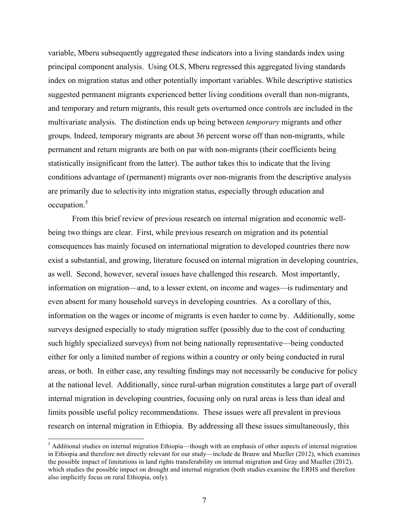variable, Mberu subsequently aggregated these indicators into a living standards index using principal component analysis. Using OLS, Mberu regressed this aggregated living standards index on migration status and other potentially important variables. While descriptive statistics suggested permanent migrants experienced better living conditions overall than non-migrants, and temporary and return migrants, this result gets overturned once controls are included in the multivariate analysis. The distinction ends up being between *temporary* migrants and other groups. Indeed, temporary migrants are about 36 percent worse off than non-migrants, while permanent and return migrants are both on par with non-migrants (their coefficients being statistically insignificant from the latter). The author takes this to indicate that the living conditions advantage of (permanent) migrants over non-migrants from the descriptive analysis are primarily due to selectivity into migration status, especially through education and occupation.<sup>5</sup>

From this brief review of previous research on internal migration and economic wellbeing two things are clear. First, while previous research on migration and its potential consequences has mainly focused on international migration to developed countries there now exist a substantial, and growing, literature focused on internal migration in developing countries, as well. Second, however, several issues have challenged this research. Most importantly, information on migration—and, to a lesser extent, on income and wages—is rudimentary and even absent for many household surveys in developing countries. As a corollary of this, information on the wages or income of migrants is even harder to come by. Additionally, some surveys designed especially to study migration suffer (possibly due to the cost of conducting such highly specialized surveys) from not being nationally representative—being conducted either for only a limited number of regions within a country or only being conducted in rural areas, or both. In either case, any resulting findings may not necessarily be conducive for policy at the national level. Additionally, since rural-urban migration constitutes a large part of overall internal migration in developing countries, focusing only on rural areas is less than ideal and limits possible useful policy recommendations. These issues were all prevalent in previous research on internal migration in Ethiopia. By addressing all these issues simultaneously, this

<sup>&</sup>lt;sup>5</sup> Additional studies on internal migration Ethiopia—though with an emphasis of other aspects of internal migration in Ethiopia and therefore not directly relevant for our study—include de Brauw and Mueller (2012), which examines the possible impact of limitations in land rights transferability on internal migration and Gray and Mueller (2012), which studies the possible impact on drought and internal migration (both studies examine the ERHS and therefore also implicitly focus on rural Ethiopia, only).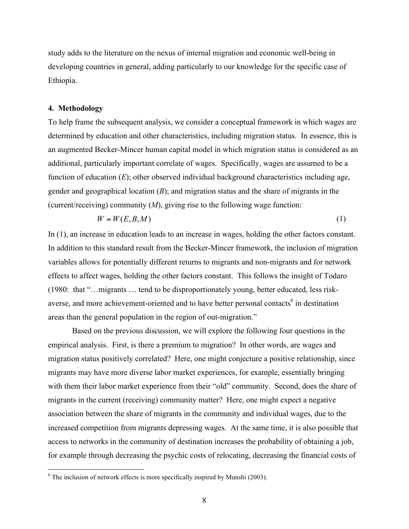study adds to the literature on the nexus of internal migration and economic well-being in developing countries in general, adding particularly to our knowledge for the specific case of Ethiopia.

#### **4. Methodology**

To help frame the subsequent analysis, we consider a conceptual framework in which wages are determined by education and other characteristics, including migration status. In essence, this is an augmented Becker-Mincer human capital model in which migration status is considered as an additional, particularly important correlate of wages. Specifically, wages are assumed to be a function of education (*E*); other observed individual background characteristics including age, gender and geographical location (*B*); and migration status and the share of migrants in the (current/receiving) community (*M*), giving rise to the following wage function:

$$
W = W(E, B, M) \tag{1}
$$

In (1), an increase in education leads to an increase in wages, holding the other factors constant. In addition to this standard result from the Becker-Mincer framework, the inclusion of migration variables allows for potentially different returns to migrants and non-migrants and for network effects to affect wages, holding the other factors constant. This follows the insight of Todaro (1980: that "…migrants … tend to be disproportionately young, better educated, less riskaverse, and more achievement-oriented and to have better personal contacts<sup>6</sup> in destination areas than the general population in the region of out-migration."

 Based on the previous discussion, we will explore the following four questions in the empirical analysis. First, is there a premium to migration? In other words, are wages and migration status positively correlated? Here, one might conjecture a positive relationship, since migrants may have more diverse labor market experiences, for example, essentially bringing with them their labor market experience from their "old" community. Second, does the share of migrants in the current (receiving) community matter? Here, one might expect a negative association between the share of migrants in the community and individual wages, due to the increased competition from migrants depressing wages. At the same time, it is also possible that access to networks in the community of destination increases the probability of obtaining a job, for example through decreasing the psychic costs of relocating, decreasing the financial costs of

 $6$  The inclusion of network effects is more specifically inspired by Munshi (2003).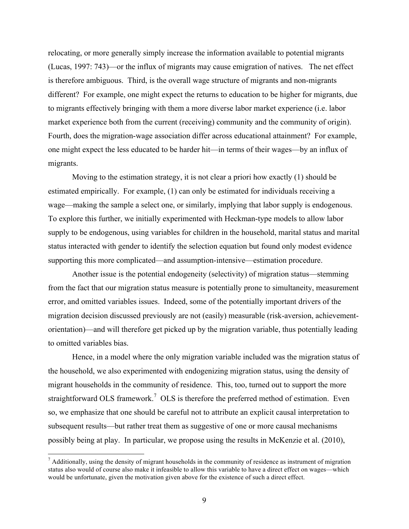relocating, or more generally simply increase the information available to potential migrants (Lucas, 1997: 743)—or the influx of migrants may cause emigration of natives. The net effect is therefore ambiguous. Third, is the overall wage structure of migrants and non-migrants different? For example, one might expect the returns to education to be higher for migrants, due to migrants effectively bringing with them a more diverse labor market experience (i.e. labor market experience both from the current (receiving) community and the community of origin). Fourth, does the migration-wage association differ across educational attainment? For example, one might expect the less educated to be harder hit—in terms of their wages—by an influx of migrants.

Moving to the estimation strategy, it is not clear a priori how exactly (1) should be estimated empirically. For example, (1) can only be estimated for individuals receiving a wage—making the sample a select one, or similarly, implying that labor supply is endogenous. To explore this further, we initially experimented with Heckman-type models to allow labor supply to be endogenous, using variables for children in the household, marital status and marital status interacted with gender to identify the selection equation but found only modest evidence supporting this more complicated—and assumption-intensive—estimation procedure.

Another issue is the potential endogeneity (selectivity) of migration status—stemming from the fact that our migration status measure is potentially prone to simultaneity, measurement error, and omitted variables issues. Indeed, some of the potentially important drivers of the migration decision discussed previously are not (easily) measurable (risk-aversion, achievementorientation)—and will therefore get picked up by the migration variable, thus potentially leading to omitted variables bias.

Hence, in a model where the only migration variable included was the migration status of the household, we also experimented with endogenizing migration status, using the density of migrant households in the community of residence. This, too, turned out to support the more straightforward OLS framework.<sup>7</sup> OLS is therefore the preferred method of estimation. Even so, we emphasize that one should be careful not to attribute an explicit causal interpretation to subsequent results—but rather treat them as suggestive of one or more causal mechanisms possibly being at play. In particular, we propose using the results in McKenzie et al. (2010),

 $^7$  Additionally, using the density of migrant households in the community of residence as instrument of migration status also would of course also make it infeasible to allow this variable to have a direct effect on wages—which would be unfortunate, given the motivation given above for the existence of such a direct effect.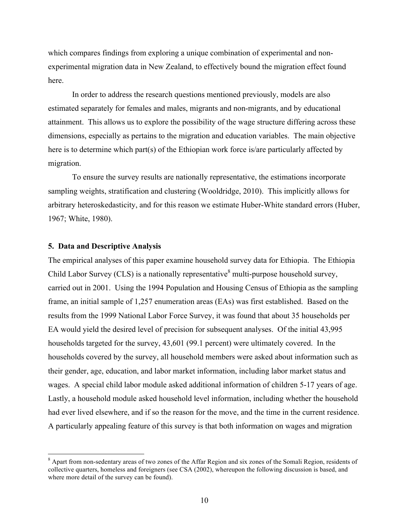which compares findings from exploring a unique combination of experimental and nonexperimental migration data in New Zealand, to effectively bound the migration effect found here.

In order to address the research questions mentioned previously, models are also estimated separately for females and males, migrants and non-migrants, and by educational attainment. This allows us to explore the possibility of the wage structure differing across these dimensions, especially as pertains to the migration and education variables. The main objective here is to determine which part(s) of the Ethiopian work force is/are particularly affected by migration.

To ensure the survey results are nationally representative, the estimations incorporate sampling weights, stratification and clustering (Wooldridge, 2010). This implicitly allows for arbitrary heteroskedasticity, and for this reason we estimate Huber-White standard errors (Huber, 1967; White, 1980).

#### **5. Data and Descriptive Analysis**

The empirical analyses of this paper examine household survey data for Ethiopia. The Ethiopia Child Labor Survey (CLS) is a nationally representative  $8$  multi-purpose household survey, carried out in 2001. Using the 1994 Population and Housing Census of Ethiopia as the sampling frame, an initial sample of 1,257 enumeration areas (EAs) was first established. Based on the results from the 1999 National Labor Force Survey, it was found that about 35 households per EA would yield the desired level of precision for subsequent analyses. Of the initial 43,995 households targeted for the survey, 43,601 (99.1 percent) were ultimately covered. In the households covered by the survey, all household members were asked about information such as their gender, age, education, and labor market information, including labor market status and wages. A special child labor module asked additional information of children 5-17 years of age. Lastly, a household module asked household level information, including whether the household had ever lived elsewhere, and if so the reason for the move, and the time in the current residence. A particularly appealing feature of this survey is that both information on wages and migration

 <sup>8</sup> Apart from non-sedentary areas of two zones of the Affar Region and six zones of the Somali Region, residents of collective quarters, homeless and foreigners (see CSA (2002), whereupon the following discussion is based, and where more detail of the survey can be found).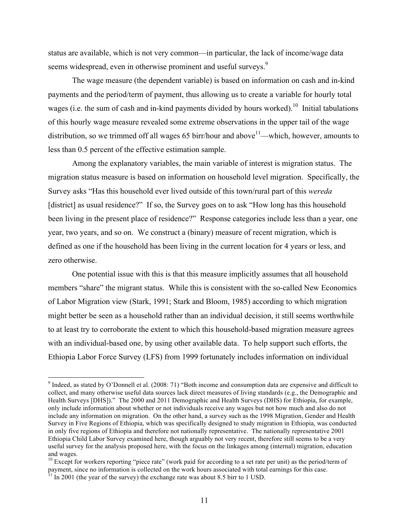status are available, which is not very common—in particular, the lack of income/wage data seems widespread, even in otherwise prominent and useful surveys.<sup>9</sup>

The wage measure (the dependent variable) is based on information on cash and in-kind payments and the period/term of payment, thus allowing us to create a variable for hourly total wages (i.e. the sum of cash and in-kind payments divided by hours worked).<sup>10</sup> Initial tabulations of this hourly wage measure revealed some extreme observations in the upper tail of the wage distribution, so we trimmed off all wages 65 birr/hour and above<sup>11</sup>—which, however, amounts to less than 0.5 percent of the effective estimation sample.

Among the explanatory variables, the main variable of interest is migration status. The migration status measure is based on information on household level migration. Specifically, the Survey asks "Has this household ever lived outside of this town/rural part of this *wereda* [district] as usual residence?" If so, the Survey goes on to ask "How long has this household been living in the present place of residence?" Response categories include less than a year, one year, two years, and so on. We construct a (binary) measure of recent migration, which is defined as one if the household has been living in the current location for 4 years or less, and zero otherwise.

One potential issue with this is that this measure implicitly assumes that all household members "share" the migrant status. While this is consistent with the so-called New Economics of Labor Migration view (Stark, 1991; Stark and Bloom, 1985) according to which migration might better be seen as a household rather than an individual decision, it still seems worthwhile to at least try to corroborate the extent to which this household-based migration measure agrees with an individual-based one, by using other available data. To help support such efforts, the Ethiopia Labor Force Survey (LFS) from 1999 fortunately includes information on individual

<sup>&</sup>lt;sup>9</sup> Indeed, as stated by O'Donnell et al. (2008: 71) "Both income and consumption data are expensive and difficult to collect, and many otherwise useful data sources lack direct measures of living standards (e.g., the Demographic and Health Surveys [DHS])." The 2000 and 2011 Demographic and Health Surveys (DHS) for Ethiopia, for example, only include information about whether or not individuals receive any wages but not how much and also do not include any information on migration. On the other hand, a survey such as the 1998 Migration, Gender and Health Survey in Five Regions of Ethiopia, which was specifically designed to study migration in Ethiopia, was conducted in only five regions of Ethiopia and therefore not nationally representative. The nationally representative 2001 Ethiopia Child Labor Survey examined here, though arguably not very recent, therefore still seems to be a very useful survey for the analysis proposed here, with the focus on the linkages among (internal) migration, education and wages.

 $10$  Except for workers reporting "piece rate" (work paid for according to a set rate per unit) as the period/term of payment, since no information is collected on the work hours associated with total earnings for this case.  $11 \text{ In } 2001$  (the year of the survey) the exchange rate was about 8.5 birr to 1 USD.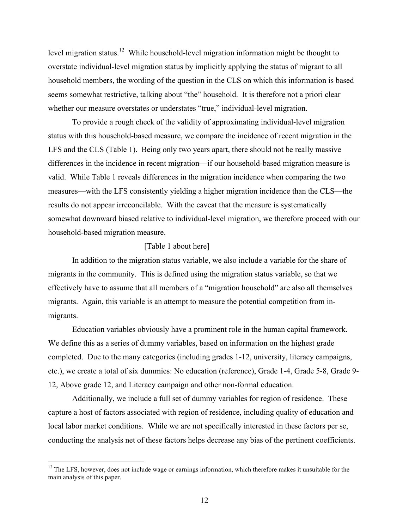level migration status.<sup>12</sup> While household-level migration information might be thought to overstate individual-level migration status by implicitly applying the status of migrant to all household members, the wording of the question in the CLS on which this information is based seems somewhat restrictive, talking about "the" household. It is therefore not a priori clear whether our measure overstates or understates "true," individual-level migration.

To provide a rough check of the validity of approximating individual-level migration status with this household-based measure, we compare the incidence of recent migration in the LFS and the CLS (Table 1). Being only two years apart, there should not be really massive differences in the incidence in recent migration—if our household-based migration measure is valid. While Table 1 reveals differences in the migration incidence when comparing the two measures—with the LFS consistently yielding a higher migration incidence than the CLS—the results do not appear irreconcilable. With the caveat that the measure is systematically somewhat downward biased relative to individual-level migration, we therefore proceed with our household-based migration measure.

#### [Table 1 about here]

In addition to the migration status variable, we also include a variable for the share of migrants in the community. This is defined using the migration status variable, so that we effectively have to assume that all members of a "migration household" are also all themselves migrants. Again, this variable is an attempt to measure the potential competition from inmigrants.

Education variables obviously have a prominent role in the human capital framework. We define this as a series of dummy variables, based on information on the highest grade completed. Due to the many categories (including grades 1-12, university, literacy campaigns, etc.), we create a total of six dummies: No education (reference), Grade 1-4, Grade 5-8, Grade 9- 12, Above grade 12, and Literacy campaign and other non-formal education.

Additionally, we include a full set of dummy variables for region of residence. These capture a host of factors associated with region of residence, including quality of education and local labor market conditions. While we are not specifically interested in these factors per se, conducting the analysis net of these factors helps decrease any bias of the pertinent coefficients.

<sup>&</sup>lt;sup>12</sup> The LFS, however, does not include wage or earnings information, which therefore makes it unsuitable for the main analysis of this paper.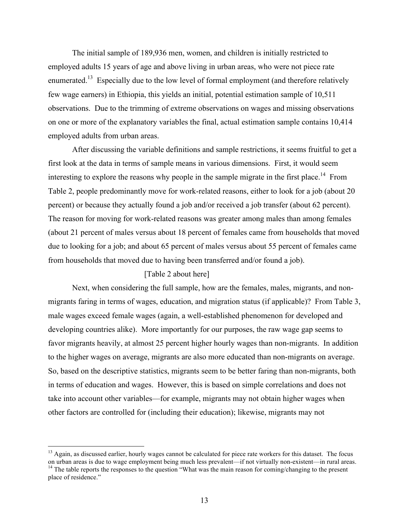The initial sample of 189,936 men, women, and children is initially restricted to employed adults 15 years of age and above living in urban areas, who were not piece rate enumerated.<sup>13</sup> Especially due to the low level of formal employment (and therefore relatively few wage earners) in Ethiopia, this yields an initial, potential estimation sample of 10,511 observations. Due to the trimming of extreme observations on wages and missing observations on one or more of the explanatory variables the final, actual estimation sample contains 10,414 employed adults from urban areas.

After discussing the variable definitions and sample restrictions, it seems fruitful to get a first look at the data in terms of sample means in various dimensions. First, it would seem interesting to explore the reasons why people in the sample migrate in the first place.<sup>14</sup> From Table 2, people predominantly move for work-related reasons, either to look for a job (about 20 percent) or because they actually found a job and/or received a job transfer (about 62 percent). The reason for moving for work-related reasons was greater among males than among females (about 21 percent of males versus about 18 percent of females came from households that moved due to looking for a job; and about 65 percent of males versus about 55 percent of females came from households that moved due to having been transferred and/or found a job).

#### [Table 2 about here]

Next, when considering the full sample, how are the females, males, migrants, and nonmigrants faring in terms of wages, education, and migration status (if applicable)? From Table 3, male wages exceed female wages (again, a well-established phenomenon for developed and developing countries alike). More importantly for our purposes, the raw wage gap seems to favor migrants heavily, at almost 25 percent higher hourly wages than non-migrants. In addition to the higher wages on average, migrants are also more educated than non-migrants on average. So, based on the descriptive statistics, migrants seem to be better faring than non-migrants, both in terms of education and wages. However, this is based on simple correlations and does not take into account other variables—for example, migrants may not obtain higher wages when other factors are controlled for (including their education); likewise, migrants may not

 $<sup>13</sup>$  Again, as discussed earlier, hourly wages cannot be calculated for piece rate workers for this dataset. The focus</sup>

on urban areas is due to wage employment being much less prevalent—if not virtually non-existent—in rural areas. <sup>14</sup> The table reports the responses to the question "What was the main reason for coming/changing to the present place of residence."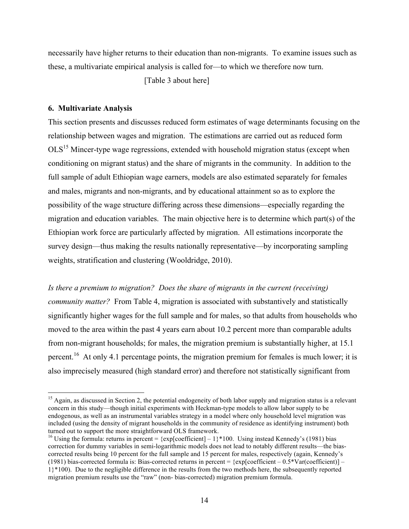necessarily have higher returns to their education than non-migrants. To examine issues such as these, a multivariate empirical analysis is called for—to which we therefore now turn.

[Table 3 about here]

#### **6. Multivariate Analysis**

This section presents and discusses reduced form estimates of wage determinants focusing on the relationship between wages and migration. The estimations are carried out as reduced form OLS15 Mincer-type wage regressions, extended with household migration status (except when conditioning on migrant status) and the share of migrants in the community. In addition to the full sample of adult Ethiopian wage earners, models are also estimated separately for females and males, migrants and non-migrants, and by educational attainment so as to explore the possibility of the wage structure differing across these dimensions—especially regarding the migration and education variables. The main objective here is to determine which part(s) of the Ethiopian work force are particularly affected by migration. All estimations incorporate the survey design—thus making the results nationally representative—by incorporating sampling weights, stratification and clustering (Wooldridge, 2010).

*Is there a premium to migration? Does the share of migrants in the current (receiving) community matter?* From Table 4, migration is associated with substantively and statistically significantly higher wages for the full sample and for males, so that adults from households who moved to the area within the past 4 years earn about 10.2 percent more than comparable adults from non-migrant households; for males, the migration premium is substantially higher, at 15.1 percent.<sup>16</sup> At only 4.1 percentage points, the migration premium for females is much lower; it is also imprecisely measured (high standard error) and therefore not statistically significant from

 $<sup>15</sup>$  Again, as discussed in Section 2, the potential endogeneity of both labor supply and migration status is a relevant</sup> concern in this study—though initial experiments with Heckman-type models to allow labor supply to be endogenous, as well as an instrumental variables strategy in a model where only household level migration was included (using the density of migrant households in the community of residence as identifying instrument) both turned out to support the more straightforward OLS framework.

<sup>&</sup>lt;sup>16</sup> Using the formula: returns in percent = {exp[coefficient] – 1}\*100. Using instead Kennedy's (1981) bias correction for dummy variables in semi-logarithmic models does not lead to notably different results—the biascorrected results being 10 percent for the full sample and 15 percent for males, respectively (again, Kennedy's (1981) bias-corrected formula is: Bias-corrected returns in percent =  $\{exp[coefficient - 0.5*Var(coefficient)] -$ 1}\*100). Due to the negligible difference in the results from the two methods here, the subsequently reported migration premium results use the "raw" (non- bias-corrected) migration premium formula.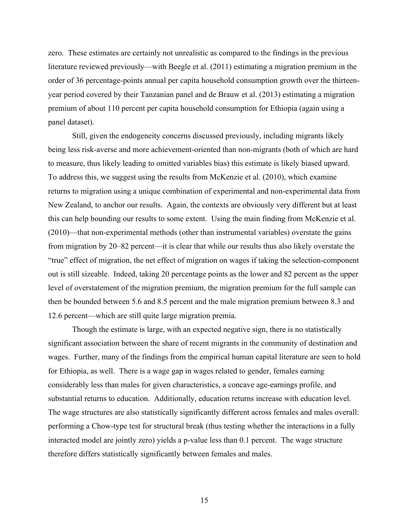zero. These estimates are certainly not unrealistic as compared to the findings in the previous literature reviewed previously—with Beegle et al. (2011) estimating a migration premium in the order of 36 percentage-points annual per capita household consumption growth over the thirteenyear period covered by their Tanzanian panel and de Brauw et al. (2013) estimating a migration premium of about 110 percent per capita household consumption for Ethiopia (again using a panel dataset).

Still, given the endogeneity concerns discussed previously, including migrants likely being less risk-averse and more achievement-oriented than non-migrants (both of which are hard to measure, thus likely leading to omitted variables bias) this estimate is likely biased upward. To address this, we suggest using the results from McKenzie et al. (2010), which examine returns to migration using a unique combination of experimental and non-experimental data from New Zealand, to anchor our results. Again, the contexts are obviously very different but at least this can help bounding our results to some extent. Using the main finding from McKenzie et al. (2010)—that non-experimental methods (other than instrumental variables) overstate the gains from migration by 20–82 percent—it is clear that while our results thus also likely overstate the "true" effect of migration, the net effect of migration on wages if taking the selection-component out is still sizeable. Indeed, taking 20 percentage points as the lower and 82 percent as the upper level of overstatement of the migration premium, the migration premium for the full sample can then be bounded between 5.6 and 8.5 percent and the male migration premium between 8.3 and 12.6 percent—which are still quite large migration premia.

Though the estimate is large, with an expected negative sign, there is no statistically significant association between the share of recent migrants in the community of destination and wages. Further, many of the findings from the empirical human capital literature are seen to hold for Ethiopia, as well. There is a wage gap in wages related to gender, females earning considerably less than males for given characteristics, a concave age-earnings profile, and substantial returns to education. Additionally, education returns increase with education level. The wage structures are also statistically significantly different across females and males overall: performing a Chow-type test for structural break (thus testing whether the interactions in a fully interacted model are jointly zero) yields a p-value less than 0.1 percent. The wage structure therefore differs statistically significantly between females and males.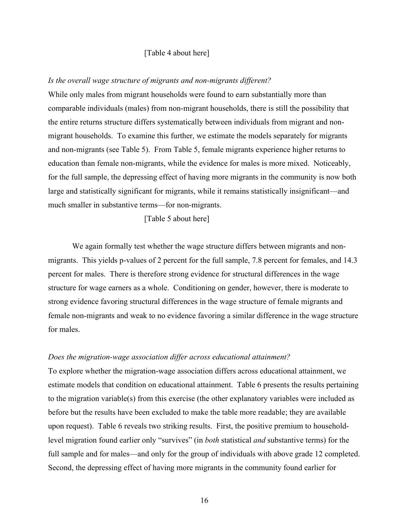#### [Table 4 about here]

#### *Is the overall wage structure of migrants and non-migrants different?*

While only males from migrant households were found to earn substantially more than comparable individuals (males) from non-migrant households, there is still the possibility that the entire returns structure differs systematically between individuals from migrant and nonmigrant households. To examine this further, we estimate the models separately for migrants and non-migrants (see Table 5). From Table 5, female migrants experience higher returns to education than female non-migrants, while the evidence for males is more mixed. Noticeably, for the full sample, the depressing effect of having more migrants in the community is now both large and statistically significant for migrants, while it remains statistically insignificant—and much smaller in substantive terms—for non-migrants.

[Table 5 about here]

We again formally test whether the wage structure differs between migrants and nonmigrants. This yields p-values of 2 percent for the full sample, 7.8 percent for females, and 14.3 percent for males. There is therefore strong evidence for structural differences in the wage structure for wage earners as a whole. Conditioning on gender, however, there is moderate to strong evidence favoring structural differences in the wage structure of female migrants and female non-migrants and weak to no evidence favoring a similar difference in the wage structure for males.

#### *Does the migration-wage association differ across educational attainment?*

To explore whether the migration-wage association differs across educational attainment, we estimate models that condition on educational attainment. Table 6 presents the results pertaining to the migration variable(s) from this exercise (the other explanatory variables were included as before but the results have been excluded to make the table more readable; they are available upon request). Table 6 reveals two striking results. First, the positive premium to householdlevel migration found earlier only "survives" (in *both* statistical *and* substantive terms) for the full sample and for males—and only for the group of individuals with above grade 12 completed. Second, the depressing effect of having more migrants in the community found earlier for

16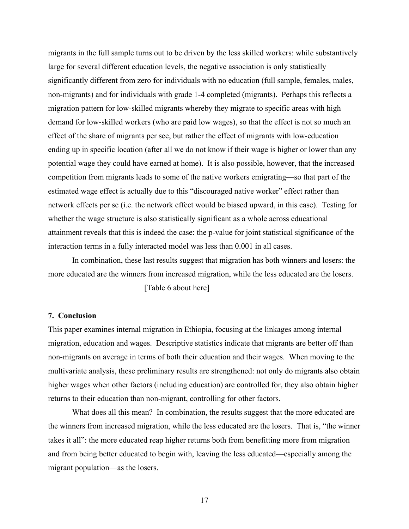migrants in the full sample turns out to be driven by the less skilled workers: while substantively large for several different education levels, the negative association is only statistically significantly different from zero for individuals with no education (full sample, females, males, non-migrants) and for individuals with grade 1-4 completed (migrants). Perhaps this reflects a migration pattern for low-skilled migrants whereby they migrate to specific areas with high demand for low-skilled workers (who are paid low wages), so that the effect is not so much an effect of the share of migrants per see, but rather the effect of migrants with low-education ending up in specific location (after all we do not know if their wage is higher or lower than any potential wage they could have earned at home). It is also possible, however, that the increased competition from migrants leads to some of the native workers emigrating—so that part of the estimated wage effect is actually due to this "discouraged native worker" effect rather than network effects per se (i.e. the network effect would be biased upward, in this case). Testing for whether the wage structure is also statistically significant as a whole across educational attainment reveals that this is indeed the case: the p-value for joint statistical significance of the interaction terms in a fully interacted model was less than 0.001 in all cases.

In combination, these last results suggest that migration has both winners and losers: the more educated are the winners from increased migration, while the less educated are the losers.

[Table 6 about here]

#### **7. Conclusion**

This paper examines internal migration in Ethiopia, focusing at the linkages among internal migration, education and wages. Descriptive statistics indicate that migrants are better off than non-migrants on average in terms of both their education and their wages. When moving to the multivariate analysis, these preliminary results are strengthened: not only do migrants also obtain higher wages when other factors (including education) are controlled for, they also obtain higher returns to their education than non-migrant, controlling for other factors.

What does all this mean? In combination, the results suggest that the more educated are the winners from increased migration, while the less educated are the losers. That is, "the winner takes it all": the more educated reap higher returns both from benefitting more from migration and from being better educated to begin with, leaving the less educated—especially among the migrant population—as the losers.

17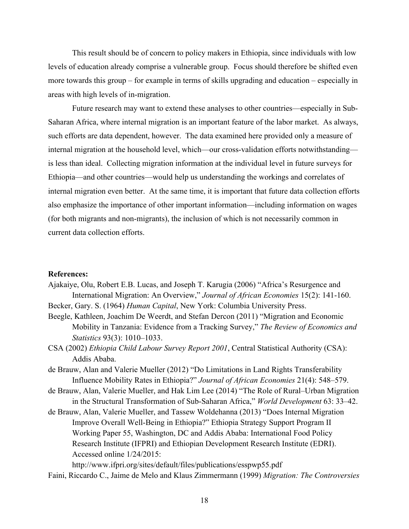This result should be of concern to policy makers in Ethiopia, since individuals with low levels of education already comprise a vulnerable group. Focus should therefore be shifted even more towards this group – for example in terms of skills upgrading and education – especially in areas with high levels of in-migration.

Future research may want to extend these analyses to other countries—especially in Sub-Saharan Africa, where internal migration is an important feature of the labor market. As always, such efforts are data dependent, however. The data examined here provided only a measure of internal migration at the household level, which—our cross-validation efforts notwithstanding is less than ideal. Collecting migration information at the individual level in future surveys for Ethiopia—and other countries—would help us understanding the workings and correlates of internal migration even better. At the same time, it is important that future data collection efforts also emphasize the importance of other important information—including information on wages (for both migrants and non-migrants), the inclusion of which is not necessarily common in current data collection efforts.

#### **References:**

Ajakaiye, Olu, Robert E.B. Lucas, and Joseph T. Karugia (2006) "Africa's Resurgence and International Migration: An Overview," *Journal of African Economies* 15(2): 141-160.

Becker, Gary. S. (1964) *Human Capital*, New York: Columbia University Press.

- Beegle, Kathleen, Joachim De Weerdt, and Stefan Dercon (2011) "Migration and Economic Mobility in Tanzania: Evidence from a Tracking Survey," *The Review of Economics and Statistics* 93(3): 1010–1033.
- CSA (2002) *Ethiopia Child Labour Survey Report 2001*, Central Statistical Authority (CSA): Addis Ababa.
- de Brauw, Alan and Valerie Mueller (2012) "Do Limitations in Land Rights Transferability Influence Mobility Rates in Ethiopia?" *Journal of African Economies* 21(4): 548–579.
- de Brauw, Alan, Valerie Mueller, and Hak Lim Lee (2014) "The Role of Rural–Urban Migration in the Structural Transformation of Sub-Saharan Africa," *World Development* 63: 33–42.
- de Brauw, Alan, Valerie Mueller, and Tassew Woldehanna (2013) "Does Internal Migration Improve Overall Well-Being in Ethiopia?" Ethiopia Strategy Support Program II Working Paper 55, Washington, DC and Addis Ababa: International Food Policy Research Institute (IFPRI) and Ethiopian Development Research Institute (EDRI). Accessed online 1/24/2015:

http://www.ifpri.org/sites/default/files/publications/esspwp55.pdf

Faini, Riccardo C., Jaime de Melo and Klaus Zimmermann (1999) *Migration: The Controversies*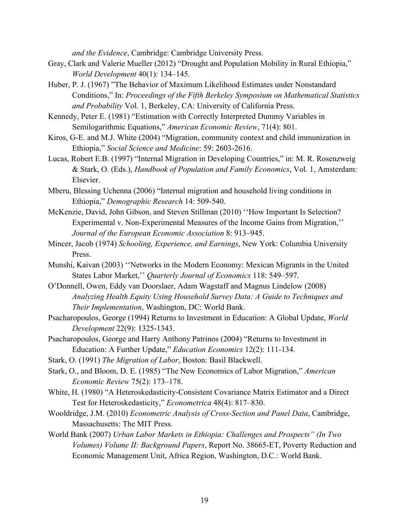*and the Evidence*, Cambridge: Cambridge University Press.

- Gray, Clark and Valerie Mueller (2012) "Drought and Population Mobility in Rural Ethiopia," *World Development* 40(1): 134–145.
- Huber, P. J. (1967) "The Behavior of Maximum Likelihood Estimates under Nonstandard Conditions," In: *Proceedings of the Fifth Berkeley Symposium on Mathematical Statistics and Probability* Vol. 1, Berkeley, CA: University of California Press.
- Kennedy, Peter E. (1981) "Estimation with Correctly Interpreted Dummy Variables in Semilogarithmic Equations," *American Economic Review*, 71(4): 801.
- Kiros, G-E. and M.J. White (2004) "Migration, community context and child immunization in Ethiopia," *Social Science and Medicine*: 59: 2603-2616.
- Lucas, Robert E.B. (1997) "Internal Migration in Developing Countries," in: M. R. Rosenzweig & Stark, O. (Eds.), *Handbook of Population and Family Economics*, Vol. 1, Amsterdam: Elsevier.
- Mberu, Blessing Uchenna (2006) "Internal migration and household living conditions in Ethiopia," *Demographic Research* 14: 509-540.
- McKenzie, David, John Gibson, and Steven Stillman (2010) ''How Important Is Selection? Experimental v. Non-Experimental Measures of the Income Gains from Migration,'' *Journal of the European Economic Association* 8: 913–945.
- Mincer, Jacob (1974) *Schooling, Experience, and Earnings*, New York: Columbia University Press.
- Munshi, Kaivan (2003) ''Networks in the Modern Economy: Mexican Migrants in the United States Labor Market,'' *Quarterly Journal of Economics* 118: 549–597.
- O'Donnell, Owen, Eddy van Doorslaer, Adam Wagstaff and Magnus Lindelow (2008) *Analyzing Health Equity Using Household Survey Data: A Guide to Techniques and Their Implementation*, Washington, DC: World Bank.
- Psacharopoulos, George (1994) Returns to Investment in Education: A Global Update, *World Development* 22(9): 1325-1343.
- Psacharopoulos, George and Harry Anthony Patrinos (2004) "Returns to Investment in Education: A Further Update," *Education Economics* 12(2): 111-134.
- Stark, O. (1991) *The Migration of Labor*, Boston: Basil Blackwell.
- Stark, O., and Bloom, D. E. (1985) "The New Economics of Labor Migration," *American Economic Review* 75(2): 173–178.
- White, H. (1980) "A Heteroskedasticity-Consistent Covariance Matrix Estimator and a Direct Test for Heteroskedasticity," *Econometrica* 48(4): 817–830.
- Wooldridge, J.M. (2010) *Econometric Analysis of Cross-Section and Panel Data*, Cambridge, Massachusetts: The MIT Press.
- World Bank (2007) *Urban Labor Markets in Ethiopia: Challenges and Prospects" (In Two Volumes) Volume II: Background Papers*, Report No. 38665-ET, Poverty Reduction and Economic Management Unit, Africa Region, Washington, D.C.: World Bank.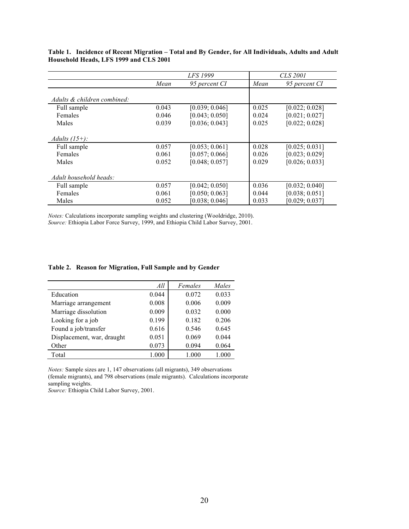|                             | <b>LFS</b> 1999 |                |       | <i>CLS 2001</i> |
|-----------------------------|-----------------|----------------|-------|-----------------|
|                             | Mean            | 95 percent CI  | Mean  | 95 percent CI   |
| Adults & children combined: |                 |                |       |                 |
| Full sample                 | 0.043           | [0.039; 0.046] | 0.025 | [0.022; 0.028]  |
| Females                     | 0.046           | [0.043; 0.050] | 0.024 | [0.021; 0.027]  |
| Males                       | 0.039           | [0.036; 0.043] | 0.025 | [0.022; 0.028]  |
| Adults $(15+)$ :            |                 |                |       |                 |
| Full sample                 | 0.057           | [0.053; 0.061] | 0.028 | [0.025; 0.031]  |
| Females                     | 0.061           | [0.057; 0.066] | 0.026 | [0.023; 0.029]  |
| Males                       | 0.052           | [0.048; 0.057] | 0.029 | [0.026; 0.033]  |
| Adult household heads:      |                 |                |       |                 |
| Full sample                 | 0.057           | [0.042; 0.050] | 0.036 | [0.032; 0.040]  |
| Females                     | 0.061           | [0.050; 0.063] | 0.044 | [0.038; 0.051]  |
| Males                       | 0.052           | [0.038; 0.046] | 0.033 | [0.029; 0.037]  |

**Table 1. Incidence of Recent Migration – Total and By Gender, for All Individuals, Adults and Adult Household Heads, LFS 1999 and CLS 2001**

*Notes:* Calculations incorporate sampling weights and clustering (Wooldridge, 2010). *Source:* Ethiopia Labor Force Survey, 1999, and Ethiopia Child Labor Survey, 2001.

|  | Table 2. Reason for Migration, Full Sample and by Gender |  |  |
|--|----------------------------------------------------------|--|--|
|  |                                                          |  |  |

|                            | All   | Females | Males |
|----------------------------|-------|---------|-------|
| Education                  | 0.044 | 0.072   | 0.033 |
| Marriage arrangement       | 0.008 | 0.006   | 0.009 |
| Marriage dissolution       | 0.009 | 0.032   | 0.000 |
| Looking for a job          | 0.199 | 0.182   | 0.206 |
| Found a job/transfer       | 0.616 | 0.546   | 0.645 |
| Displacement, war, draught | 0.051 | 0.069   | 0.044 |
| Other                      | 0.073 | 0.094   | 0.064 |
| Total                      | 1.000 | 1.000   | 1.000 |

*Notes:* Sample sizes are 1, 147 observations (all migrants), 349 observations (female migrants), and 798 observations (male migrants). Calculations incorporate sampling weights.

*Source:* Ethiopia Child Labor Survey, 2001.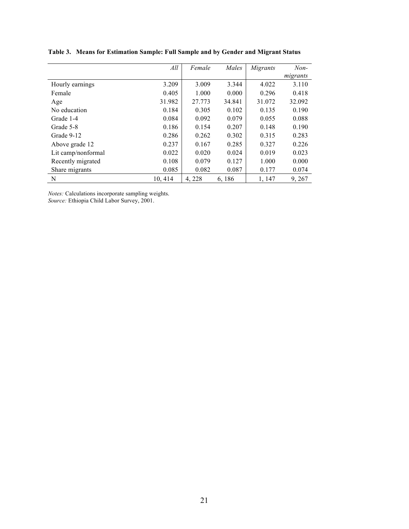|                    | All     | Female | Males  | Migrants | $Non-$   |
|--------------------|---------|--------|--------|----------|----------|
|                    |         |        |        |          | migrants |
| Hourly earnings    | 3.209   | 3.009  | 3.344  | 4.022    | 3.110    |
| Female             | 0.405   | 1.000  | 0.000  | 0.296    | 0.418    |
| Age                | 31.982  | 27.773 | 34.841 | 31.072   | 32.092   |
| No education       | 0.184   | 0.305  | 0.102  | 0.135    | 0.190    |
| Grade 1-4          | 0.084   | 0.092  | 0.079  | 0.055    | 0.088    |
| Grade 5-8          | 0.186   | 0.154  | 0.207  | 0.148    | 0.190    |
| Grade 9-12         | 0.286   | 0.262  | 0.302  | 0.315    | 0.283    |
| Above grade 12     | 0.237   | 0.167  | 0.285  | 0.327    | 0.226    |
| Lit camp/nonformal | 0.022   | 0.020  | 0.024  | 0.019    | 0.023    |
| Recently migrated  | 0.108   | 0.079  | 0.127  | 1.000    | 0.000    |
| Share migrants     | 0.085   | 0.082  | 0.087  | 0.177    | 0.074    |
| N                  | 10, 414 | 4,228  | 6, 186 | 1, 147   | 9, 267   |

**Table 3. Means for Estimation Sample: Full Sample and by Gender and Migrant Status**

*Notes:* Calculations incorporate sampling weights.

*Source:* Ethiopia Child Labor Survey, 2001.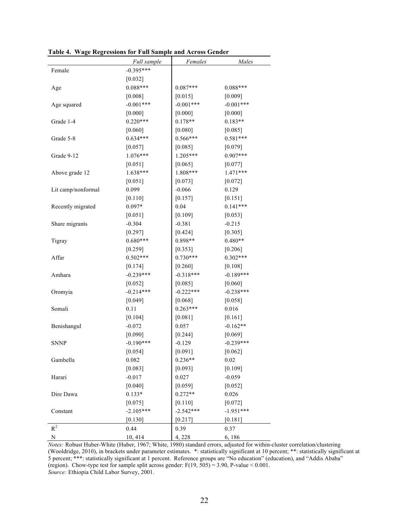|                    | Full sample | Females     | Males       |
|--------------------|-------------|-------------|-------------|
| Female             | $-0.395***$ |             |             |
|                    | $[0.032]$   |             |             |
| Age                | $0.088***$  | $0.087***$  | $0.088***$  |
|                    | [0.008]     | [0.015]     | [0.009]     |
| Age squared        | $-0.001***$ | $-0.001***$ | $-0.001***$ |
|                    | [0.000]     | [0.000]     | [0.000]     |
| Grade 1-4          | $0.220***$  | $0.178**$   | $0.183**$   |
|                    | $[0.060]$   | [0.080]     | [0.085]     |
| Grade 5-8          | $0.634***$  | 0.566***    | $0.581***$  |
|                    | [0.057]     | [0.085]     | [0.079]     |
| Grade 9-12         | 1.076***    | 1.205***    | 0.907***    |
|                    | $[0.051]$   | [0.065]     | [0.077]     |
| Above grade 12     | 1.638***    | 1.808***    | 1.471***    |
|                    | $[0.051]$   | $[0.073]$   | $[0.072]$   |
| Lit camp/nonformal | 0.099       | $-0.066$    | 0.129       |
|                    | $[0.110]$   | [0.157]     | [0.151]     |
| Recently migrated  | $0.097*$    | 0.04        | $0.141***$  |
|                    | $[0.051]$   | [0.109]     | [0.053]     |
| Share migrants     | $-0.304$    | $-0.381$    | $-0.215$    |
|                    | [0.297]     | $[0.424]$   | [0.305]     |
| Tigray             | $0.680***$  | $0.898**$   | $0.480**$   |
|                    | [0.259]     | [0.353]     | $[0.206]$   |
| Affar              | $0.502***$  | $0.730***$  | $0.302***$  |
|                    | [0.174]     | [0.260]     | [0.108]     |
| Amhara             | $-0.239***$ | $-0.318***$ | $-0.189***$ |
|                    | $[0.052]$   | [0.085]     | $[0.060]$   |
| Oromyia            | $-0.214***$ | $-0.222***$ | $-0.238***$ |
|                    | [0.049]     | [0.068]     | [0.058]     |
| Somali             | 0.11        | $0.263***$  | 0.016       |
|                    | [0.104]     | [0.081]     | [0.161]     |
| Benishangul        | $-0.072$    | 0.057       | $-0.162**$  |
|                    | [0.090]     | $[0.244]$   | [0.069]     |
| SNNP               | $-0.190***$ | $-0.129$    | $-0.239***$ |
|                    | [0.054]     | [0.091]     | [0.062]     |
| Gambella           | 0.082       | $0.236**$   | 0.02        |
|                    | [0.083]     | [0.093]     | [0.109]     |
| Harari             | $-0.017$    | 0.027       | $-0.059$    |
|                    | [0.040]     | [0.059]     | [0.052]     |
| Dire Dawa          | $0.133*$    | $0.272**$   | 0.026       |
|                    | [0.075]     | $[0.110]$   | $[0.072]$   |
| Constant           | $-2.105***$ | $-2.542***$ | $-1.951***$ |
|                    | [0.130]     | [0.217]     | [0.181]     |
| $R^2$              | 0.44        | 0.39        | 0.37        |
| N                  | 10, 414     | 4,228       | 6,186       |

**Table 4. Wage Regressions for Full Sample and Across Gender**

*Notes:* Robust Huber-White (Huber, 1967; White, 1980) standard errors, adjusted for within-cluster correlation/clustering (Wooldridge, 2010), in brackets under parameter estimates. \*: statistically significant at 10 percent; \*\*: statistically significant at 5 percent; \*\*\*: statistically significant at 1 percent. Reference groups are "No education" (education), and "Addis Ababa" (region). Chow-type test for sample split across gender:  $F(19, 505) = 3.90$ , P-value < 0.001. *Source:* Ethiopia Child Labor Survey, 2001.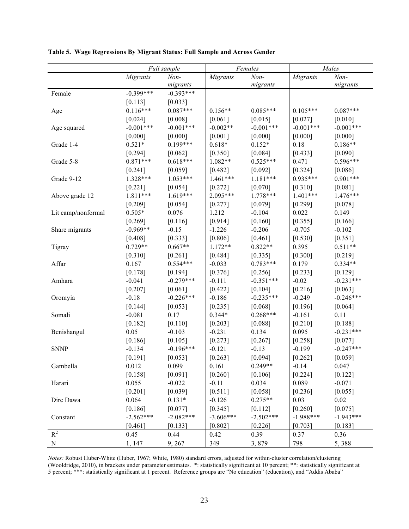|                    |              | Full sample | Females         |             | Males           |             |
|--------------------|--------------|-------------|-----------------|-------------|-----------------|-------------|
|                    | Migrants     | Non-        | <b>Migrants</b> | Non-        | <b>Migrants</b> | $Non-$      |
|                    |              | migrants    |                 | migrants    |                 | migrants    |
| Female             | $-0.399***$  | $-0.393***$ |                 |             |                 |             |
|                    | [0.113]      | [0.033]     |                 |             |                 |             |
| Age                | $0.116***$   | $0.087***$  | $0.156**$       | $0.085***$  | $0.105***$      | $0.087***$  |
|                    | $[0.024]$    | [0.008]     | [0.061]         | $[0.015]$   | $[0.027]$       | $[0.010]$   |
| Age squared        | $-0.001$ *** | $-0.001***$ | $-0.002**$      | $-0.001***$ | $-0.001***$     | $-0.001***$ |
|                    | [0.000]      | [0.000]     | [0.001]         | [0.000]     | [0.000]         | [0.000]     |
| Grade 1-4          | $0.521*$     | $0.199***$  | $0.618*$        | $0.152*$    | 0.18            | $0.186**$   |
|                    | [0.294]      | [0.062]     | [0.350]         | [0.084]     | [0.433]         | [0.090]     |
| Grade 5-8          | $0.871***$   | $0.618***$  | $1.082**$       | $0.525***$  | 0.471           | 0.596***    |
|                    | [0.241]      | [0.059]     | [0.482]         | [0.092]     | [0.324]         | [0.086]     |
| Grade 9-12         | 1.328***     | $1.053***$  | $1.461***$      | $1.181***$  | $0.935***$      | $0.901***$  |
|                    | $[0.221]$    | [0.054]     | [0.272]         | $[0.070]$   | [0.310]         | [0.081]     |
| Above grade 12     | 1.811 ***    | $1.619***$  | 2.095***        | $1.778***$  | $1.401***$      | 1.476***    |
|                    | [0.209]      | [0.054]     | [0.277]         | [0.079]     | [0.299]         | [0.078]     |
| Lit camp/nonformal | $0.505*$     | 0.076       | 1.212           | $-0.104$    | 0.022           | 0.149       |
|                    | $[0.269]$    | [0.116]     | [0.914]         | [0.160]     | [0.355]         | [0.166]     |
| Share migrants     | $-0.969**$   | $-0.15$     | $-1.226$        | $-0.206$    | $-0.705$        | $-0.102$    |
|                    | [0.408]      | [0.333]     | [0.806]         | [0.461]     | [0.530]         | [0.351]     |
| Tigray             | $0.729**$    | $0.667**$   | $1.172**$       | $0.822**$   | 0.395           | $0.511**$   |
|                    | [0.310]      | [0.261]     | [0.484]         | [0.335]     | [0.300]         | [0.219]     |
| Affar              | 0.167        | $0.554***$  | $-0.033$        | $0.783***$  | 0.179           | $0.334**$   |
|                    | $[0.178]$    | [0.194]     | [0.376]         | [0.256]     | [0.233]         | [0.129]     |
| Amhara             | $-0.041$     | $-0.279***$ | $-0.111$        | $-0.351***$ | $-0.02$         | $-0.231***$ |
|                    | [0.207]      | [0.061]     | $[0.422]$       | [0.104]     | $[0.216]$       | [0.063]     |
| Oromyia            | $-0.18$      | $-0.226***$ | $-0.186$        | $-0.235***$ | $-0.249$        | $-0.246***$ |
|                    | [0.144]      | [0.053]     | [0.235]         | [0.068]     | [0.196]         | [0.064]     |
| Somali             | $-0.081$     | 0.17        | $0.344*$        | $0.268***$  | $-0.161$        | 0.11        |
|                    | $[0.182]$    | [0.110]     | [0.203]         | [0.088]     | $[0.210]$       | [0.188]     |
| Benishangul        | 0.05         | $-0.103$    | $-0.231$        | 0.134       | 0.095           | $-0.231***$ |
|                    | [0.186]      | [0.105]     | [0.273]         | [0.267]     | [0.258]         | [0.077]     |
| <b>SNNP</b>        | $-0.134$     | $-0.196***$ | $-0.121$        | $-0.13$     | $-0.199$        | $-0.247***$ |
|                    | [0.191]      | [0.053]     | [0.263]         | [0.094]     | [0.262]         | [0.059]     |
| Gambella           | 0.012        | 0.099       | 0.161           | $0.249**$   | $-0.14$         | 0.047       |
|                    | [0.158]      | [0.091]     | $[0.260]$       | [0.106]     | $[0.224]$       | $[0.122]$   |
| Harari             | 0.055        | $-0.022$    | $-0.11$         | 0.034       | 0.089           | $-0.071$    |
|                    | [0.201]      | [0.039]     | [0.511]         | [0.058]     | [0.236]         | [0.055]     |
| Dire Dawa          | 0.064        | $0.131*$    | $-0.126$        | $0.275**$   | 0.03            | 0.02        |
|                    | [0.186]      | [0.077]     | [0.345]         | [0.112]     | [0.260]         | [0.075]     |
| Constant           | $-2.562***$  | $-2.082***$ | $-3.606***$     | $-2.502***$ | $-1.988***$     | $-1.943***$ |
|                    | [0.461]      | [0.133]     | [0.802]         | [0.226]     | [0.703]         | [0.183]     |
| $R^2$              | 0.45         | 0.44        | 0.42            | 0.39        | 0.37            | 0.36        |
| ${\bf N}$          | 1, 147       | 9,267       | 349             | 3,879       | 798             | 5,388       |

**Table 5. Wage Regressions By Migrant Status: Full Sample and Across Gender**

*Notes:* Robust Huber-White (Huber, 1967; White, 1980) standard errors, adjusted for within-cluster correlation/clustering (Wooldridge, 2010), in brackets under parameter estimates. \*: statistically significant at 10 percent; \*\*: statistically significant at 5 percent; \*\*\*: statistically significant at 1 percent. Reference groups are "No education" (education), and "Addis Ababa"